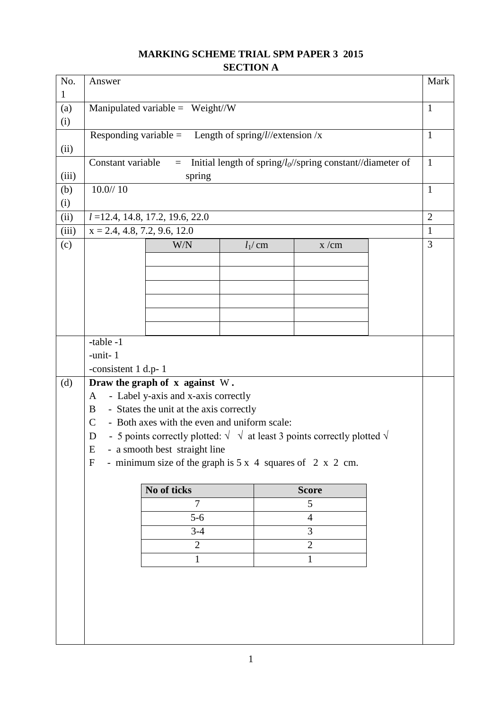## **MARKING SCHEME TRIAL SPM PAPER 3 2015 SECTION A**

| No.          | Answer                         |                                                                                               |  |            | Mark                                                           |  |                |
|--------------|--------------------------------|-----------------------------------------------------------------------------------------------|--|------------|----------------------------------------------------------------|--|----------------|
| $\mathbf{1}$ |                                |                                                                                               |  |            |                                                                |  |                |
| (a)          |                                | Manipulated variable = $Weight/W$                                                             |  |            |                                                                |  | $\mathbf{1}$   |
| (i)          |                                |                                                                                               |  |            |                                                                |  |                |
|              |                                | Responding variable = Length of spring/l//extension /x                                        |  |            |                                                                |  | $\mathbf{1}$   |
| (ii)         |                                |                                                                                               |  |            |                                                                |  |                |
|              | Constant variable              | $=$                                                                                           |  |            | Initial length of spring/ $l_0$ //spring constant//diameter of |  | $\mathbf{1}$   |
| (iii)        | 10.0/10                        | spring                                                                                        |  |            |                                                                |  | $\mathbf{1}$   |
| (b)          |                                |                                                                                               |  |            |                                                                |  |                |
| (i)<br>(ii)  |                                |                                                                                               |  |            |                                                                |  | $\overline{2}$ |
| (iii)        | $x = 2.4, 4.8, 7.2, 9.6, 12.0$ | $l = 12.4, 14.8, 17.2, 19.6, 22.0$                                                            |  |            |                                                                |  | $\mathbf{1}$   |
| (c)          |                                | W/N                                                                                           |  | $l_1$ / cm | x/cm                                                           |  | 3              |
|              |                                |                                                                                               |  |            |                                                                |  |                |
|              |                                |                                                                                               |  |            |                                                                |  |                |
|              |                                |                                                                                               |  |            |                                                                |  |                |
|              |                                |                                                                                               |  |            |                                                                |  |                |
|              |                                |                                                                                               |  |            |                                                                |  |                |
|              |                                |                                                                                               |  |            |                                                                |  |                |
|              | -table -1                      |                                                                                               |  |            |                                                                |  |                |
|              | -unit-1                        |                                                                                               |  |            |                                                                |  |                |
|              | -consistent 1 d.p-1            |                                                                                               |  |            |                                                                |  |                |
| (d)          |                                | Draw the graph of x against W.                                                                |  |            |                                                                |  |                |
|              | $\mathbf{A}$                   | - Label y-axis and x-axis correctly                                                           |  |            |                                                                |  |                |
|              | B                              | - States the unit at the axis correctly                                                       |  |            |                                                                |  |                |
|              | $\mathsf{C}$                   | - Both axes with the even and uniform scale:                                                  |  |            |                                                                |  |                |
|              | D                              | - 5 points correctly plotted: $\sqrt{\sqrt{}}$ at least 3 points correctly plotted $\sqrt{ }$ |  |            |                                                                |  |                |
|              | E                              | - a smooth best straight line                                                                 |  |            |                                                                |  |                |
|              | $\mathbf F$                    | - minimum size of the graph is $5 \times 4$ squares of $2 \times 2$ cm.                       |  |            |                                                                |  |                |
|              |                                |                                                                                               |  |            |                                                                |  |                |
|              |                                | No of ticks                                                                                   |  |            | <b>Score</b>                                                   |  |                |
|              |                                | $\overline{7}$                                                                                |  |            | 5                                                              |  |                |
|              |                                | $5-6$                                                                                         |  |            | $\overline{4}$                                                 |  |                |
|              |                                | $3-4$                                                                                         |  |            | 3                                                              |  |                |
|              |                                | $\overline{2}$                                                                                |  |            | $\overline{2}$                                                 |  |                |
|              |                                | $\mathbf{1}$<br>1                                                                             |  |            |                                                                |  |                |
|              |                                |                                                                                               |  |            |                                                                |  |                |
|              |                                |                                                                                               |  |            |                                                                |  |                |
|              |                                |                                                                                               |  |            |                                                                |  |                |
|              |                                |                                                                                               |  |            |                                                                |  |                |
|              |                                |                                                                                               |  |            |                                                                |  |                |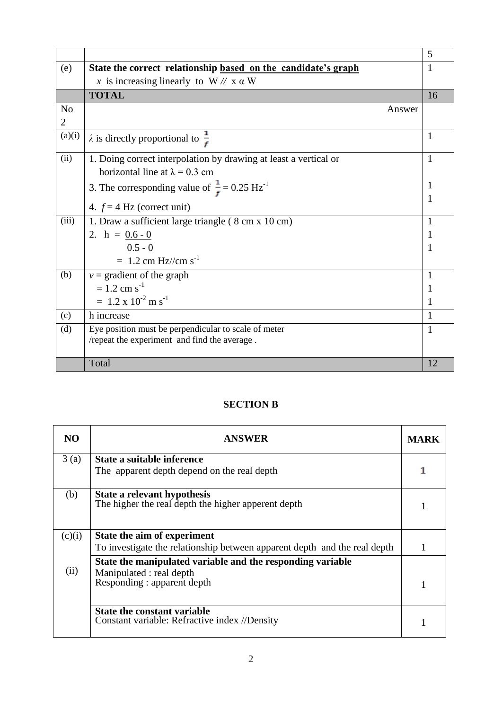|                |                                                                     | 5  |
|----------------|---------------------------------------------------------------------|----|
| (e)            | State the correct relationship based on the candidate's graph       | 1  |
|                | x is increasing linearly to $W \mathbin{\text{N}} X$ a W            |    |
|                | <b>TOTAL</b>                                                        | 16 |
| N <sub>o</sub> | Answer                                                              |    |
| 2              |                                                                     |    |
| (a)(i)         | $\lambda$ is directly proportional to $\frac{1}{\epsilon}$          | 1  |
| (ii)           | 1. Doing correct interpolation by drawing at least a vertical or    | 1  |
|                | horizontal line at $\lambda = 0.3$ cm                               |    |
|                | 3. The corresponding value of $\frac{1}{f}$ = 0.25 Hz <sup>-1</sup> | 1  |
|                |                                                                     | 1  |
|                | 4. $f = 4$ Hz (correct unit)                                        |    |
| (iii)          | 1. Draw a sufficient large triangle (8 cm x 10 cm)                  | 1  |
|                | 2. $h = 0.6 - 0$                                                    | 1  |
|                | $0.5 - 0$                                                           | 1  |
|                | $= 1.2$ cm Hz//cm s <sup>-1</sup>                                   |    |
| (b)            | $v =$ gradient of the graph                                         | 1  |
|                | $= 1.2$ cm s <sup>-1</sup>                                          | 1  |
|                | $= 1.2 \times 10^{-2}$ m s <sup>-1</sup>                            | 1  |
| (c)            | h increase                                                          | 1  |
| (d)            | Eye position must be perpendicular to scale of meter                | 1  |
|                | /repeat the experiment and find the average.                        |    |
|                |                                                                     |    |
|                | Total                                                               | 12 |

## **SECTION B**

| NO.    | <b>ANSWER</b>                                                                       |  |
|--------|-------------------------------------------------------------------------------------|--|
| 3(a)   | State a suitable inference<br>The apparent depth depend on the real depth           |  |
|        |                                                                                     |  |
| (b)    | State a relevant hypothesis<br>The higher the real depth the higher apperent depth  |  |
| (c)(i) | State the aim of experiment                                                         |  |
|        | To investigate the relationship between apparent depth and the real depth           |  |
|        | State the manipulated variable and the responding variable                          |  |
| (ii)   | Manipulated : real depth<br>Responding : apparent depth                             |  |
|        | <b>State the constant variable</b><br>Constant variable: Refractive index //Density |  |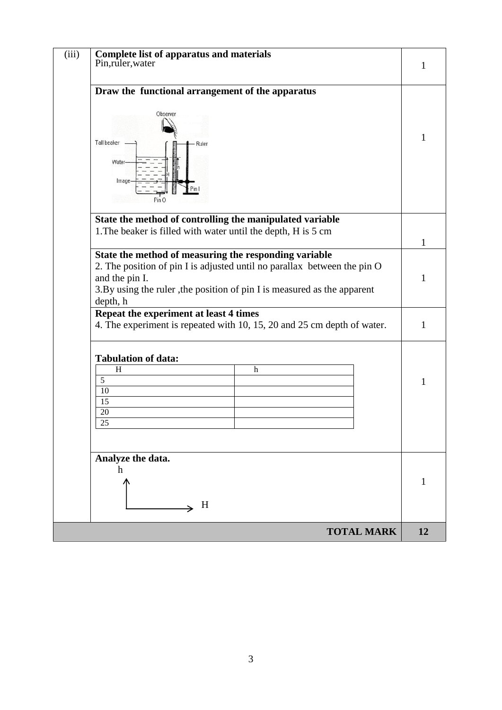| <b>Complete list of apparatus and materials</b><br>Pin, ruler, water<br>1<br>Draw the functional arrangement of the apparatus<br>Observer<br>1<br>Tall beaker<br>Ruler<br>Water-<br>Image-<br>Pin O<br>State the method of controlling the manipulated variable<br>1. The beaker is filled with water until the depth, H is 5 cm<br>$\mathbf{1}$<br>State the method of measuring the responding variable<br>2. The position of pin I is adjusted until no parallax between the pin O<br>and the pin I.<br>1<br>3.By using the ruler, the position of pin I is measured as the apparent<br>depth, h<br>Repeat the experiment at least 4 times<br>4. The experiment is repeated with 10, 15, 20 and 25 cm depth of water.<br>1<br><b>Tabulation of data:</b><br>H<br>$\mathbf h$<br>$\overline{5}$<br>1<br>10<br>15<br>20<br>25<br>Analyze the data.<br>h<br>1<br>H |
|--------------------------------------------------------------------------------------------------------------------------------------------------------------------------------------------------------------------------------------------------------------------------------------------------------------------------------------------------------------------------------------------------------------------------------------------------------------------------------------------------------------------------------------------------------------------------------------------------------------------------------------------------------------------------------------------------------------------------------------------------------------------------------------------------------------------------------------------------------------------|
|                                                                                                                                                                                                                                                                                                                                                                                                                                                                                                                                                                                                                                                                                                                                                                                                                                                                    |
|                                                                                                                                                                                                                                                                                                                                                                                                                                                                                                                                                                                                                                                                                                                                                                                                                                                                    |
|                                                                                                                                                                                                                                                                                                                                                                                                                                                                                                                                                                                                                                                                                                                                                                                                                                                                    |
|                                                                                                                                                                                                                                                                                                                                                                                                                                                                                                                                                                                                                                                                                                                                                                                                                                                                    |
|                                                                                                                                                                                                                                                                                                                                                                                                                                                                                                                                                                                                                                                                                                                                                                                                                                                                    |
|                                                                                                                                                                                                                                                                                                                                                                                                                                                                                                                                                                                                                                                                                                                                                                                                                                                                    |
|                                                                                                                                                                                                                                                                                                                                                                                                                                                                                                                                                                                                                                                                                                                                                                                                                                                                    |
|                                                                                                                                                                                                                                                                                                                                                                                                                                                                                                                                                                                                                                                                                                                                                                                                                                                                    |
|                                                                                                                                                                                                                                                                                                                                                                                                                                                                                                                                                                                                                                                                                                                                                                                                                                                                    |
|                                                                                                                                                                                                                                                                                                                                                                                                                                                                                                                                                                                                                                                                                                                                                                                                                                                                    |
|                                                                                                                                                                                                                                                                                                                                                                                                                                                                                                                                                                                                                                                                                                                                                                                                                                                                    |
|                                                                                                                                                                                                                                                                                                                                                                                                                                                                                                                                                                                                                                                                                                                                                                                                                                                                    |
|                                                                                                                                                                                                                                                                                                                                                                                                                                                                                                                                                                                                                                                                                                                                                                                                                                                                    |
|                                                                                                                                                                                                                                                                                                                                                                                                                                                                                                                                                                                                                                                                                                                                                                                                                                                                    |
|                                                                                                                                                                                                                                                                                                                                                                                                                                                                                                                                                                                                                                                                                                                                                                                                                                                                    |
|                                                                                                                                                                                                                                                                                                                                                                                                                                                                                                                                                                                                                                                                                                                                                                                                                                                                    |
|                                                                                                                                                                                                                                                                                                                                                                                                                                                                                                                                                                                                                                                                                                                                                                                                                                                                    |
|                                                                                                                                                                                                                                                                                                                                                                                                                                                                                                                                                                                                                                                                                                                                                                                                                                                                    |
|                                                                                                                                                                                                                                                                                                                                                                                                                                                                                                                                                                                                                                                                                                                                                                                                                                                                    |
|                                                                                                                                                                                                                                                                                                                                                                                                                                                                                                                                                                                                                                                                                                                                                                                                                                                                    |
|                                                                                                                                                                                                                                                                                                                                                                                                                                                                                                                                                                                                                                                                                                                                                                                                                                                                    |
|                                                                                                                                                                                                                                                                                                                                                                                                                                                                                                                                                                                                                                                                                                                                                                                                                                                                    |
|                                                                                                                                                                                                                                                                                                                                                                                                                                                                                                                                                                                                                                                                                                                                                                                                                                                                    |
|                                                                                                                                                                                                                                                                                                                                                                                                                                                                                                                                                                                                                                                                                                                                                                                                                                                                    |
|                                                                                                                                                                                                                                                                                                                                                                                                                                                                                                                                                                                                                                                                                                                                                                                                                                                                    |
|                                                                                                                                                                                                                                                                                                                                                                                                                                                                                                                                                                                                                                                                                                                                                                                                                                                                    |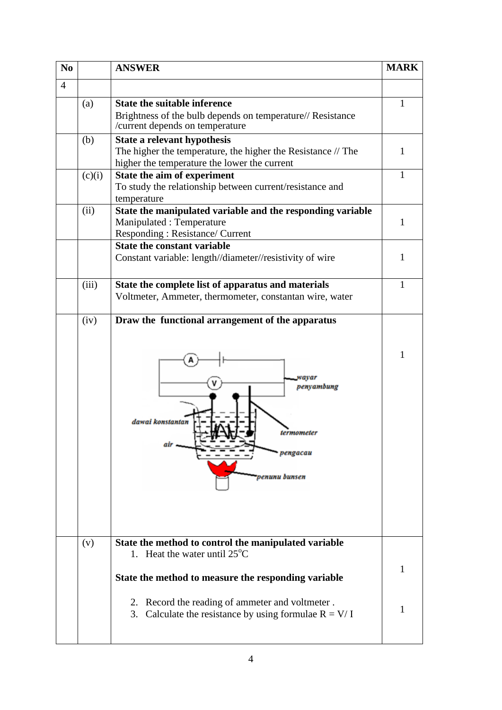| N <sub>0</sub> |        | <b>ANSWER</b>                                                                                                | <b>MARK</b> |  |
|----------------|--------|--------------------------------------------------------------------------------------------------------------|-------------|--|
| $\overline{4}$ |        |                                                                                                              |             |  |
|                | (a)    | <b>State the suitable inference</b>                                                                          |             |  |
|                |        | Brightness of the bulb depends on temperature// Resistance<br>/current depends on temperature                |             |  |
|                | (b)    | State a relevant hypothesis                                                                                  |             |  |
|                |        | The higher the temperature, the higher the Resistance // The<br>higher the temperature the lower the current | 1           |  |
|                | (c)(i) | State the aim of experiment                                                                                  | 1           |  |
|                |        | To study the relationship between current/resistance and                                                     |             |  |
|                | (ii)   | temperature<br>State the manipulated variable and the responding variable                                    |             |  |
|                |        | Manipulated: Temperature                                                                                     | 1           |  |
|                |        | Responding: Resistance/ Current                                                                              |             |  |
|                |        | <b>State the constant variable</b>                                                                           |             |  |
|                |        | Constant variable: length//diameter//resistivity of wire                                                     | 1           |  |
|                | (iii)  | State the complete list of apparatus and materials                                                           | 1           |  |
|                |        | Voltmeter, Ammeter, thermometer, constantan wire, water                                                      |             |  |
|                | (iv)   | Draw the functional arrangement of the apparatus                                                             |             |  |
|                |        | wavar<br>penyambung<br>dawai konstantan<br>termometer<br>vengacau<br>venunu bunsen                           | 1           |  |
|                | (v)    | State the method to control the manipulated variable<br>1. Heat the water until $25^{\circ}$ C               |             |  |
|                |        | State the method to measure the responding variable                                                          | 1           |  |
|                |        | 2. Record the reading of ammeter and voltmeter.<br>3. Calculate the resistance by using formulae $R = V/I$   | 1           |  |